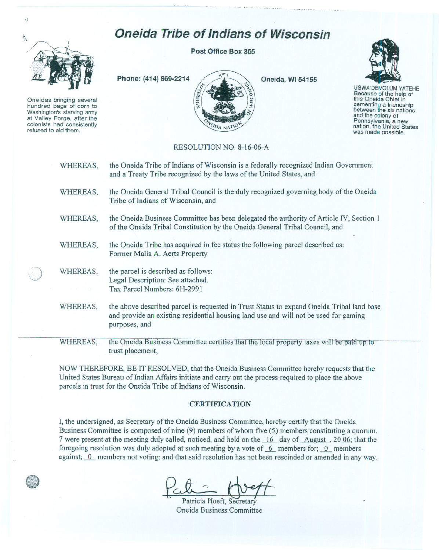

 $\{ \overline{\mathfrak{I}}$ 

Oneidas bringing several hundred bags of corn to Washington's starving army at Valley Forge, after the<br>colonists had consistently refused to aid them.

**Post Office Box 365**

**Oneida Tribe of Indians of Wisconsin**



**Oneida, Wi 54155**



UGWA'DEMOLUM YATEHE Because of the help of this Oneida Chief in<br>cementing a friendship between the six nations and the colony of<br>Pennsylvania, a new nation, the United States was made possible.

## RESOLUTION NO. 8-16-06-A

| WHEREAS, | the Oneida Tribe of Indians of Wisconsin is a federally recognized Indian Government<br>and a Treaty Tribe recognized by the laws of the United States, and                                        |
|----------|----------------------------------------------------------------------------------------------------------------------------------------------------------------------------------------------------|
| WHEREAS, | the Oneida General Tribal Council is the duly recognized governing body of the Oneida<br>Tribe of Indians of Wisconsin, and                                                                        |
| WHEREAS, | the Oneida Business Committee has been delegated the authority of Article IV, Section 1<br>of the Oneida Tribal Constitution by the Oneida General Tribal Council, and                             |
| WHEREAS, | the Oneida Tribe has acquired in fee status the following parcel described as:<br>Former Malia A. Aerts Property                                                                                   |
| WHEREAS, | the parcel is described as follows:<br>Legal Description: See attached.<br>Tax Parcel Numbers: 6H-2991                                                                                             |
| WHEREAS, | the above described parcel is requested in Trust Status to expand Oneida Tribal land base<br>and provide an existing residential housing land use and will not be used for gaming<br>purposes, and |
| WHEREAS, | the Oneida Business Committee certifies that the local property taxes will be paid up to<br>trust placement,                                                                                       |

NOW THEREFORE, BE IT RESOLVED, that the Oneida Business Committee hereby requests that the United States Bureau of Indian Affairs initiate and carry out the process required to place the above parcels in trust for the Oneida Tribe of Indians of Wisconsin.

## **CERTIFICATION**

I, the undersigned, as Secretary of the Oneida Business Committee, hereby certify that the Oneida Business Committee is composed of nine (9) members of whom five (5) members constituting a quorum. 7 were present at the meeting duly called, noticed, and held on the  $\overline{16}$  day of August , 20.06; that the foregoing resolution was duly adopted at such meeting by a vote of  $6$  members for;  $0$  members against;  $\overline{0}$  members not voting; and that said resolution has not been rescinded or amended in any way.

Pett<sup>-1</sup> Patricia Hoeft, Secretary

Oneida Business Committee